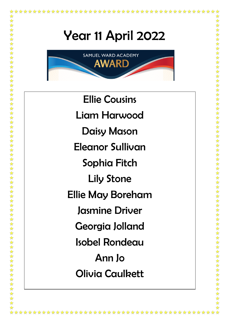\*\*\*\*\*\*\*\*\*\*\*\*\*\*\*\*\*\*\*\*\*\*\*\*\*\*\*\*\*\*\*\*\*\*\*



Ellie Cousins Liam Harwood Daisy Mason Eleanor Sullivan Sophia Fitch Lily Stone Ellie May Boreham Jasmine Driver Georgia Jolland Isobel Rondeau Ann Jo Olivia Caulkett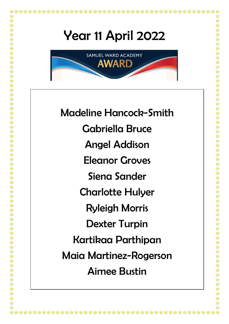

\*\*\*\*\*\*\*\*\*\*\*\*\*

女女女女女女女女女女女女女女女女女女女女

女女女女女女女女女女女女女女

\*\*\*\*\*\*\*

\*\*\*\*\*\*\*\*

Madeline Hancock-Smith Gabriella Bruce Angel Addison Eleanor Groves Siena Sander Charlotte Hulyer Ryleigh Morris Dexter Turpin Kartikaa Parthipan Maia Martinez-Rogerson Aimee Bustin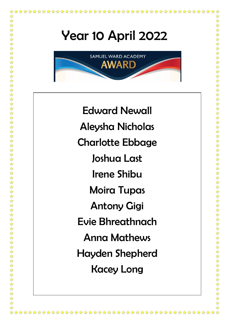大众

★★★★★

\*\*\*\*\*\*\*\*\*\*\*\*\*\*



Edward Newall Aleysha Nicholas Charlotte Ebbage Joshua Last Irene Shibu Moira Tupas Antony Gigi Evie Bhreathnach Anna Mathews Hayden Shepherd Kacey Long

\*\*\*\*\*\*\*\*\*\*\*\*\*\*\*\*\*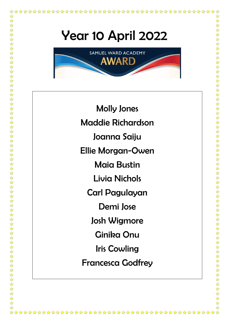\*\*\*\*\*\*\*\*\*\*\*\*\*\*\*\*\*\*\*\*\*\*\*\*\*\*\*\*\*\*\*\*\*\*\*\*

大众



Molly Jones Maddie Richardson Joanna Saiju Ellie Morgan-Owen Maia Bustin Livia Nichols Carl Pagulayan Demi Jose Josh Wigmore Ginika Onu Iris Cowling Francesca Godfrey

\*\*\*\*\*\*\*\*\*\*\*\*\*\*\*\*\*\*\*\*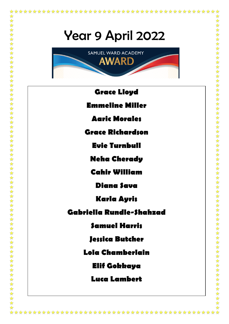大大



- **Grace Lloyd Emmeline Miller**
	- **Aaric Morales**
- **Grace Richardson**
	- **Evie Turnbull**
	- **Neha Cherady**
	- **Cahir William**
		- **Diana Sava**
		- **Karla Ayris**
- **Gabriella Rundle-Shahzad**
	- **Samuel Harris**
	- **Jessica Butcher**
	- **Lola Chamberlain**
		- **Elif Gokkaya**
		- **Luca Lambert**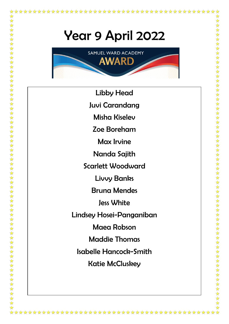

- Libby Head
- Juvi Carandang
	- Misha Kiselev
	- Zoe Boreham
		- Max Irvine
	- Nanda Sajith
- Scarlett Woodward

- Livvy Banks
- Bruna Mendes
	- Jess White
- Lindsey Hosei-Panganiban
	- Maea Robson
	- Maddie Thomas
	- Isabelle Hancock-Smith
		- Katie McCluskey

\*\*\*\*\*\*\*\*\*\*\*\*\*\*\*\*\*\*\*\*\*\*\*\*\*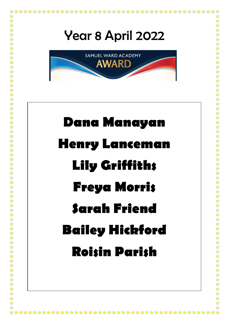

\*\*\*\*\*\*\*\*\*\*\*\*\*\*\*\*\*\*\*\*

大众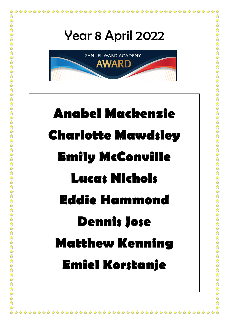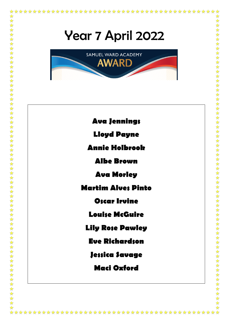大大

✿

 $\bigstar$ ☆





\*\*\*\*\*\*\*\*\*\*\*\*\*\*\*\*\*\*\*\*\*\*\*\*\*\*\*\*\*\*\*\*\*\*\*\*\*\*